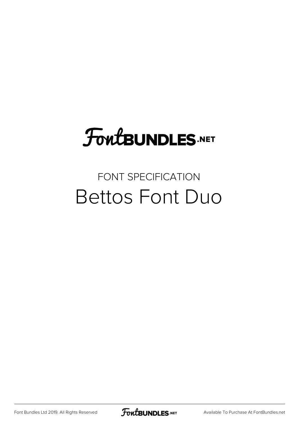## **FoutBUNDLES.NET**

### FONT SPECIFICATION Bettos Font Duo

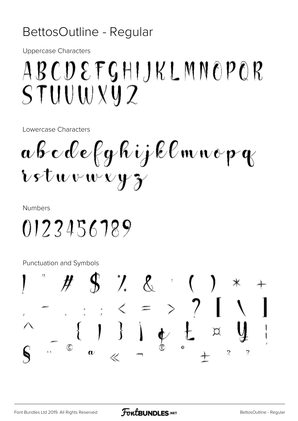#### BettosOutline - Regular

**Uppercase Characters** 

## ABCDEFGHIJKLMNOPOR STUUWXYZ

Lowercase Characters

abcdefghijklmnopg Lstuvwxyz

**Numbers** 

0123456789

Punctuation and Symbols

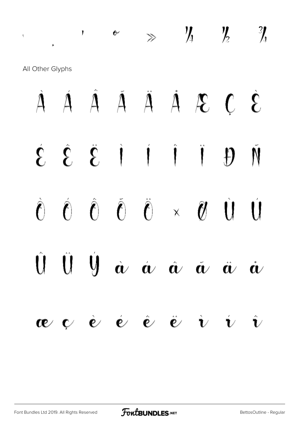## $\frac{1}{2}$  ,  $\frac{1}{2}$   $\frac{1}{4}$   $\frac{1}{2}$   $\frac{1}{4}$   $\frac{1}{2}$   $\frac{1}{4}$

All Other Glyphs

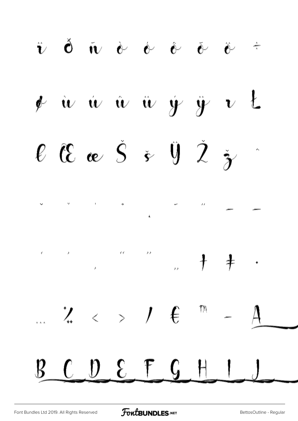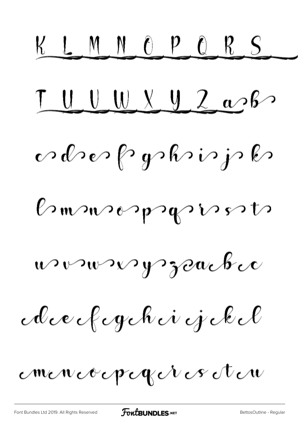KLMNOPORS  $LUVYU260$ </u> odrerfryshirjsk Bonsospegnessts wonnergrache Avecfogche i jokel mencocpegéres éten

[Font Bundles Ltd 2019. All Rights Reserved](https://fontbundles.net/) **FoutBUNDLES.NET** SettosOutline - Regular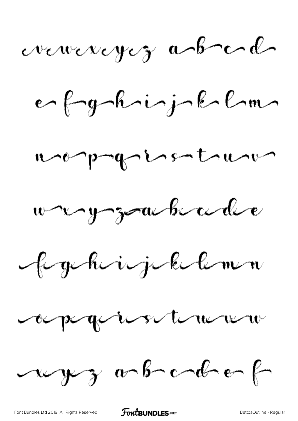vewereyez abel

e fyhijklm









wyz obodef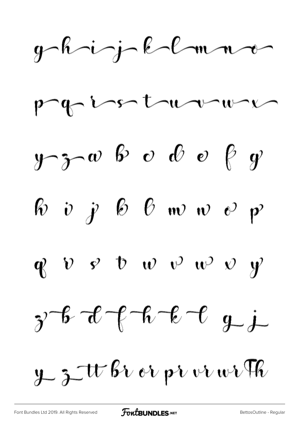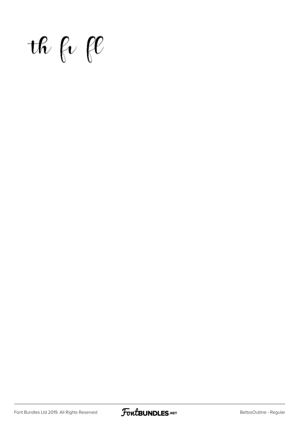$the$  fr fl

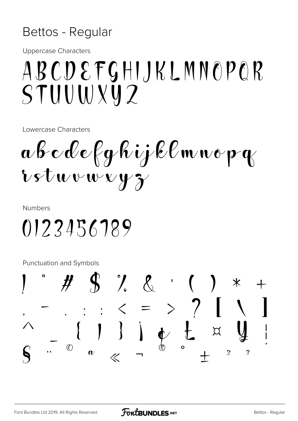### Bettos - Regular

**Uppercase Characters** 

## ABCDEFGHIJKLMNOPOR STUUWXY2

Lowercase Characters

abcdefghijklmnopq  $\mathbf{v}$ stuvwyz

**Numbers** 

0123456789

Punctuation and Symbols

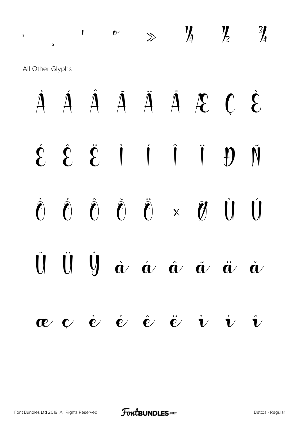# · ¸ ¹ º » ¼ ½ ¾ All Other Glyphs À Á Â Ã Ä Å Æ Ç È É Ê Ë Ì Í Î Ï Ð Ñ Ò Ó Ô Õ Ö × Ø Ù Ú U U  $\dot{a}$   $\dot{a}$   $\dot{a}$   $\dot{a}$   $\ddot{a}$   $\ddot{a}$  $\mathbf{c}$   $\mathbf{c}$   $\dot{\mathbf{c}}$   $\dot{\mathbf{c}}$   $\ddot{\mathbf{c}}$   $\ddot{\mathbf{c}}$   $\dot{\mathbf{c}}$   $\dot{\mathbf{v}}$   $\dot{\mathbf{v}}$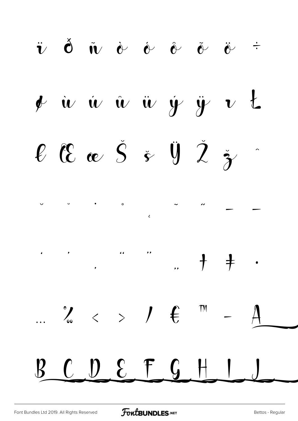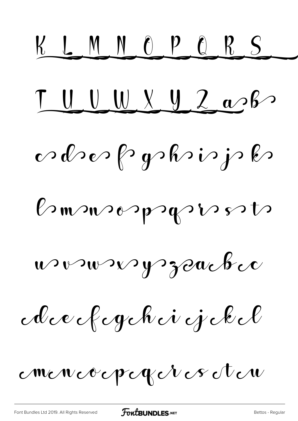KLMNOPORS TUUXYZash odrer fryskrinjsk Burnsonpagnes to wonner y zoucher Acce fegéhei éjekel mencocpezer es éten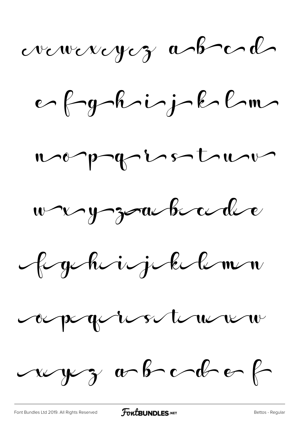vewexcycz abel

ef fyrkinj k lm

noppogristime



figihrigikelm

oupoquestement

rayez a b c d e f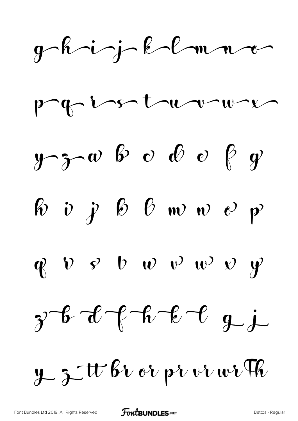$g-h j-k-l-m-1$ page institution  $y$   $3$   $\infty$  b  $\infty$  b  $\infty$  f g  $\begin{array}{ccccccccc}\n\text{\&} & \text{\&} & \text{\&} & \text{\&} & \text{\&} & \text{\&} & \text{\&} & \text{\&} & \text{\&} & \text{\&} & \text{\&} & \text{\&} & \text{\&} & \text{\&} & \text{\&} & \text{\&} & \text{\&} & \text{\&} & \text{\&} & \text{\&} & \text{\&} & \text{\&} & \text{\&} & \text{\&} & \text{\&} & \text{\&} & \text{\&} & \text{\&} & \text{\&} & \text{\&} & \text{\&} & \text{\&} & \text{\&} & \text{\&} & \text{\&} &$ 

 $\oint v v \cdot v \cdot v \cdot v \cdot v$ 



 $y$   $3$   $\pi$   $\beta$   $\upsilon$   $\upsilon$   $p$   $\upsilon$   $\upsilon$   $\upsilon$   $\psi$   $\psi$